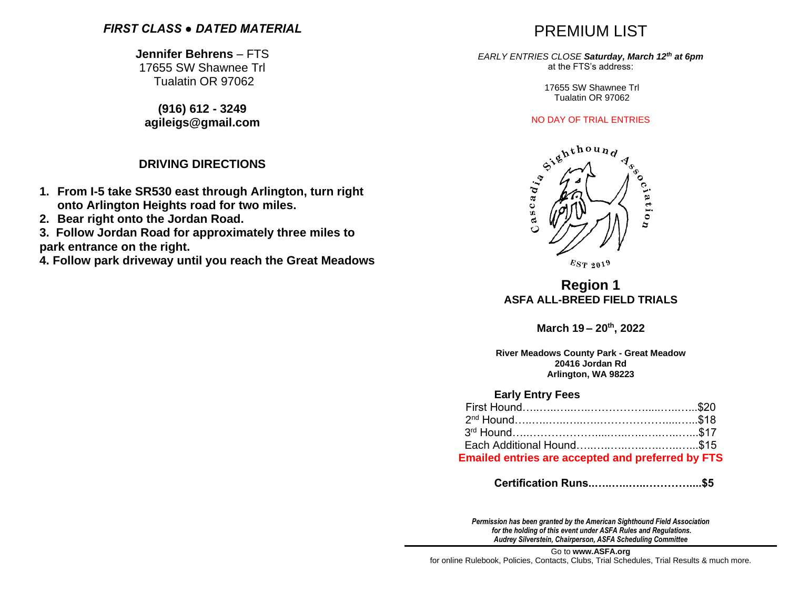### *FIRST CLASS ● DATED MATERIAL*

**Jennifer Behrens** – FTS 17655 SW Shawnee Trl Tualatin OR 97062

**(916) 612 - 3249 agileigs@gmail.com**

### **DRIVING DIRECTIONS**

- **1. From I-5 take SR530 east through Arlington, turn right onto Arlington Heights road for two miles.**
- **2. Bear right onto the Jordan Road.**

**3. Follow Jordan Road for approximately three miles to park entrance on the right.**

**4. Follow park driveway until you reach the Great Meadows**

# PREMIUM LIST

#### *EARLY ENTRIES CLOSE Saturday, March 12 th at 6pm*  at the FTS's address:

17655 SW Shawnee Trl Tualatin OR 97062



 $E_{ST}$  2019

## **Region 1 ASFA ALL-BREED FIELD TRIALS**

**March 19 – 20th, 2022**

**River Meadows County Park - Great Meadow 20416 Jordan Rd Arlington, WA 98223**

### **Early Entry Fees**

| <b>Emailed entries are accepted and preferred by FTS</b> |  |
|----------------------------------------------------------|--|

 **Certification Runs..…..…..…..…………....\$5**

*Permission has been granted by the American Sighthound Field Association for the holding of this event under ASFA Rules and Regulations. Audrey Silverstein, Chairperson, ASFA Scheduling Committee*

Go to **[www.ASFA.org](http://www.asfa.org/)** for online Rulebook, Policies, Contacts, Clubs, Trial Schedules, Trial Results & much more.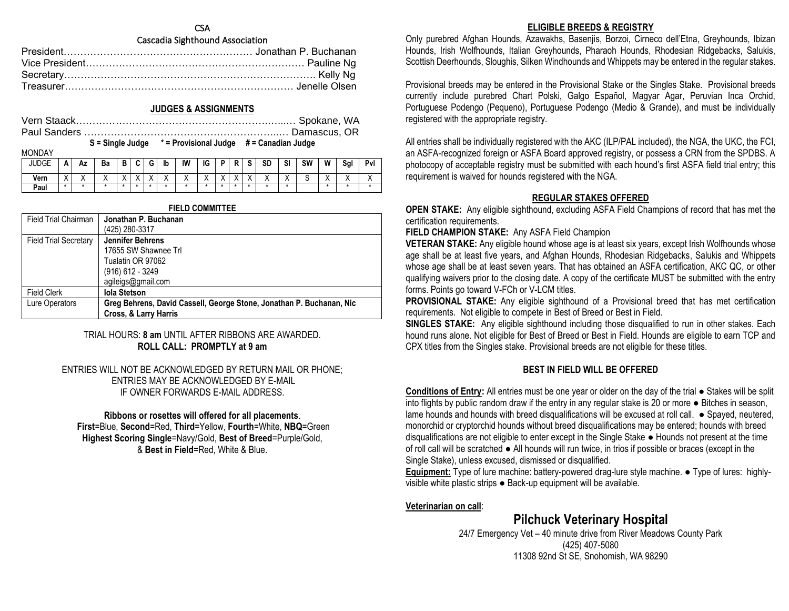### **CSA**

### Cascadia Sighthound Association

#### **JUDGES & ASSIGNMENTS**

|  | $S =$ Single Judge $* =$ Provisional Judge $# =$ Canadian Judge |  |
|--|-----------------------------------------------------------------|--|

**MONDAY** 

| IVIVIVI      |           |         |              |         |                                       |   |         |                          |                           |              |           |           |                          |    |   |                      |              |
|--------------|-----------|---------|--------------|---------|---------------------------------------|---|---------|--------------------------|---------------------------|--------------|-----------|-----------|--------------------------|----|---|----------------------|--------------|
| <b>JUDGE</b> | n         | Αz      | Ba           | в<br>D  |                                       | G | lb      | IW                       | IG                        | D            | n         | <b>SD</b> | SI                       | SW | W | Sgl                  | Pvl          |
| Vern         | $\lambda$ | $\cdot$ | $\mathbf{v}$ | $\cdot$ | $\sqrt{}$<br>$\overline{\phantom{a}}$ | v | $\cdot$ | $\mathbf{v}$<br>$\cdots$ | $\mathbf{v}$<br>$\lambda$ | $\checkmark$ | $\sqrt{}$ |           | $\checkmark$<br>$\cdots$ |    |   | $\cdot$<br>$\lambda$ | $\mathbf{v}$ |
| Paul         | *         |         |              |         |                                       |   |         |                          | *                         |              |           |           |                          |    |   |                      |              |

| <b>FIELD COMMITTEE</b>       |                                                                      |  |  |  |
|------------------------------|----------------------------------------------------------------------|--|--|--|
| <b>Field Trial Chairman</b>  | Jonathan P. Buchanan                                                 |  |  |  |
|                              | (425) 280-3317                                                       |  |  |  |
| <b>Field Trial Secretary</b> | <b>Jennifer Behrens</b>                                              |  |  |  |
|                              | 17655 SW Shawnee Trl                                                 |  |  |  |
|                              | Tualatin OR 97062                                                    |  |  |  |
|                              | (916) 612 - 3249                                                     |  |  |  |
|                              | agileigs@gmail.com                                                   |  |  |  |
| <b>Field Clerk</b>           | <b>Iola Stetson</b>                                                  |  |  |  |
| Lure Operators               | Greg Behrens, David Cassell, George Stone, Jonathan P. Buchanan, Nic |  |  |  |
|                              | <b>Cross, &amp; Larry Harris</b>                                     |  |  |  |

### TRIAL HOURS: **8 am** UNTIL AFTER RIBBONS ARE AWARDED. **ROLL CALL: PROMPTLY at 9 am**

ENTRIES WILL NOT BE ACKNOWLEDGED BY RETURN MAIL OR PHONE; ENTRIES MAY BE ACKNOWLEDGED BY E-MAIL IF OWNER FORWARDS E-MAIL ADDRESS.

### **Ribbons or rosettes will offered for all placements**.

**First**=Blue, **Second**=Red, **Third**=Yellow, **Fourth**=White, **NBQ**=Green **Highest Scoring Single**=Navy/Gold, **Best of Breed**=Purple/Gold, & **Best in Field**=Red, White & Blue.

### **ELIGIBLE BREEDS & REGISTRY**

Only purebred Afghan Hounds, Azawakhs, Basenjis, Borzoi, Cirneco dell'Etna, Greyhounds, Ibizan Hounds, Irish Wolfhounds, Italian Greyhounds, Pharaoh Hounds, Rhodesian Ridgebacks, Salukis, Scottish Deerhounds, Sloughis, Silken Windhounds and Whippets may be entered in the regular stakes.

Provisional breeds may be entered in the Provisional Stake or the Singles Stake. Provisional breeds currently include purebred Chart Polski, Galgo Español, Magyar Agar, Peruvian Inca Orchid, Portuguese Podengo (Pequeno), Portuguese Podengo (Medio & Grande), and must be individually registered with the appropriate registry.

All entries shall be individually registered with the AKC (ILP/PAL included), the NGA, the UKC, the FCI, an ASFA-recognized foreign or ASFA Board approved registry, or possess a CRN from the SPDBS. A photocopy of acceptable registry must be submitted with each hound's first ASFA field trial entry; this requirement is waived for hounds registered with the NGA.

### **REGULAR STAKES OFFERED**

**OPEN STAKE:** Any eligible sighthound, excluding ASFA Field Champions of record that has met the certification requirements.

**FIELD CHAMPION STAKE:** Any ASFA Field Champion

**VETERAN STAKE:** Any eligible hound whose age is at least six years, except Irish Wolfhounds whose age shall be at least five years, and Afghan Hounds, Rhodesian Ridgebacks, Salukis and Whippets whose age shall be at least seven years. That has obtained an ASFA certification, AKC QC, or other qualifying waivers prior to the closing date. A copy of the certificate MUST be submitted with the entry forms. Points go toward V-FCh or V-LCM titles.

**PROVISIONAL STAKE:** Any eligible sighthound of a Provisional breed that has met certification requirements. Not eligible to compete in Best of Breed or Best in Field.

**SINGLES STAKE:** Any eligible sighthound including those disqualified to run in other stakes. Each hound runs alone. Not eligible for Best of Breed or Best in Field. Hounds are eligible to earn TCP and CPX titles from the Singles stake. Provisional breeds are not eligible for these titles.

### **BEST IN FIELD WILL BE OFFERED**

**Conditions of Entry:** All entries must be one year or older on the day of the trial ● Stakes will be split into flights by public random draw if the entry in any regular stake is 20 or more ● Bitches in season, lame hounds and hounds with breed disqualifications will be excused at roll call. ● Spayed, neutered, monorchid or cryptorchid hounds without breed disqualifications may be entered; hounds with breed disqualifications are not eligible to enter except in the Single Stake ● Hounds not present at the time of roll call will be scratched ● All hounds will run twice, in trios if possible or braces (except in the Single Stake), unless excused, dismissed or disqualified.

**Equipment:** Type of lure machine: battery-powered drag-lure style machine. ● Type of lures: highlyvisible white plastic strips ● Back-up equipment will be available.

### **Veterinarian on call**:

**Pilchuck Veterinary Hospital**

24/7 Emergency Vet – 40 minute drive from River Meadows County Park (425) 407-5080 11308 92nd St SE, Snohomish, WA 98290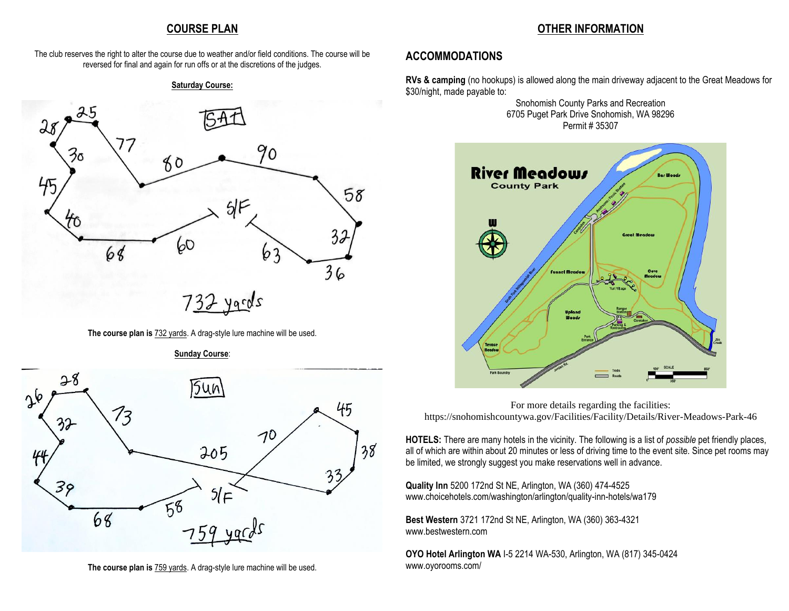### **COURSE PLAN**

### **OTHER INFORMATION**

The club reserves the right to alter the course due to weather and/or field conditions. The course will be reversed for final and again for run offs or at the discretions of the judges.

#### **Saturday Course:**



**The course plan is** 732 yards. A drag-style lure machine will be used.



 $\Delta \phi$ 

**Sunday Course**:

**The course plan is** 759 yards. A drag-style lure machine will be used.

### **ACCOMMODATIONS**

38

**RVs & camping** (no hookups) is allowed along the main driveway adjacent to the Great Meadows for \$30/night, made payable to:

> Snohomish County Parks and Recreation 6705 Puget Park Drive Snohomish, WA 98296 Permit # 35307



For more details regarding the facilities: <https://snohomishcountywa.gov/Facilities/Facility/Details/River-Meadows-Park-46>

**HOTELS:** There are many hotels in the vicinity. The following is a list of *possible* pet friendly places, all of which are within about 20 minutes or less of driving time to the event site. Since pet rooms may be limited, we strongly suggest you make reservations well in advance.

**Quality Inn** 5200 172nd St NE, Arlington, WA (360) 474-4525 [www.choicehotels.com/washington/arlington/quality-inn-hotels/wa179](http://www.choicehotels.com/washington/arlington/quality-inn-hotels/wa179)

**Best Western** 3721 172nd St NE, Arlington, WA (360) 363-4321 www.bestwestern.com

**OYO Hotel Arlington WA** I-5 2214 WA-530, Arlington, WA (817) 345-0424 [www.oyorooms.com/](https://www.oyorooms.com/)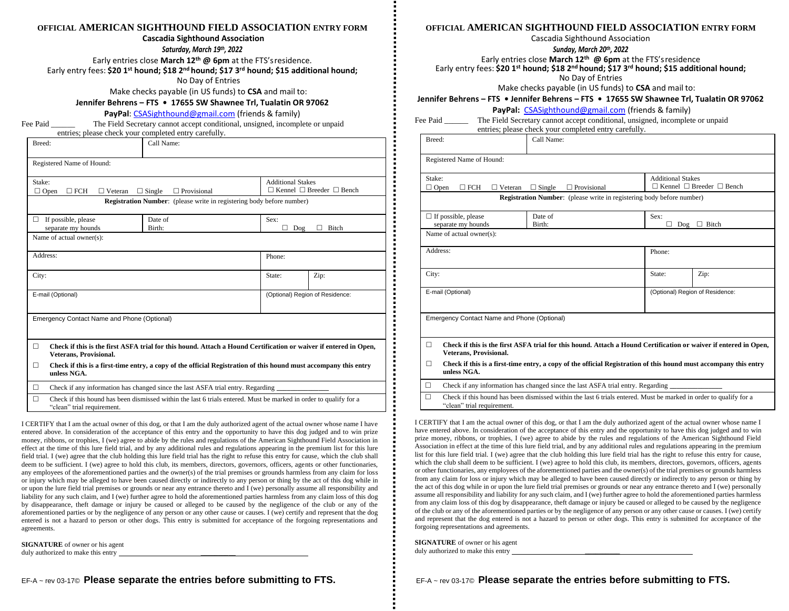### **OFFICIAL AMERICAN SIGHTHOUND FIELD ASSOCIATION ENTRY FORM**

#### **Cascadia Sighthound Association**

*Saturday, March 19th, 2022*

Early entries close **March 12 th @ 6pm** at the FTS'sresidence.

Early entry fees: **\$20 1 st hound; \$18 2nd hound; \$17 3rd hound; \$15 additional hound;**

No Day of Entries

Make checks payable (in US funds) to **CSA** and mail to:

**Jennifer Behrens – FTS • 17655 SW Shawnee Trl, Tualatin OR 97062**

**PayPal**: [CSASighthound@gmail.com](mailto:CSASighthound@gmail.com) (friends & family)

Fee Paid **The Field Secretary cannot accept conditional, unsigned, incomplete or unpaid** entries; please check your completed entry carefully.

| Breed:                                         | Call Name:                                                                                                                                      |                          |                                           |  |  |  |
|------------------------------------------------|-------------------------------------------------------------------------------------------------------------------------------------------------|--------------------------|-------------------------------------------|--|--|--|
| Registered Name of Hound:                      |                                                                                                                                                 |                          |                                           |  |  |  |
| Stake:<br>$\Box$ FCH<br>$\Box$ Open            | $\Box$ Single<br>$\Box$ Provisional<br>$\Box$ Veteran                                                                                           | <b>Additional Stakes</b> | $\Box$ Kennel $\Box$ Breeder $\Box$ Bench |  |  |  |
|                                                | <b>Registration Number:</b> (please write in registering body before number)                                                                    |                          |                                           |  |  |  |
| If possible, please<br>□<br>separate my hounds | Date of<br>Birth:                                                                                                                               | Sex:<br>п<br>Dog         | <b>Bitch</b>                              |  |  |  |
| Name of actual owner(s):                       |                                                                                                                                                 |                          |                                           |  |  |  |
| Address:                                       |                                                                                                                                                 | Phone:                   |                                           |  |  |  |
| City:                                          |                                                                                                                                                 | State:                   | Zip:                                      |  |  |  |
| E-mail (Optional)                              |                                                                                                                                                 |                          | (Optional) Region of Residence:           |  |  |  |
| Emergency Contact Name and Phone (Optional)    |                                                                                                                                                 |                          |                                           |  |  |  |
| п<br>Veterans, Provisional.                    | Check if this is the first ASFA trial for this hound. Attach a Hound Certification or waiver if entered in Open,                                |                          |                                           |  |  |  |
| П<br>unless NGA.                               | Check if this is a first-time entry, a copy of the official Registration of this hound must accompany this entry                                |                          |                                           |  |  |  |
| $\Box$                                         | Check if any information has changed since the last ASFA trial entry. Regarding                                                                 |                          |                                           |  |  |  |
| П                                              | Check if this hound has been dismissed within the last 6 trials entered. Must be marked in order to qualify for a<br>"clean" trial requirement. |                          |                                           |  |  |  |

I CERTIFY that I am the actual owner of this dog, or that I am the duly authorized agent of the actual owner whose name I have entered above. In consideration of the acceptance of this entry and the opportunity to have this dog judged and to win prize money, ribbons, or trophies, I (we) agree to abide by the rules and regulations of the American Sighthound Field Association in effect at the time of this lure field trial, and by any additional rules and regulations appearing in the premium list for this lure field trial. I (we) agree that the club holding this lure field trial has the right to refuse this entry for cause, which the club shall deem to be sufficient. I (we) agree to hold this club, its members, directors, governors, officers, agents or other functionaries, any employees of the aforementioned parties and the owner(s) of the trial premises or grounds harmless from any claim for loss or injury which may be alleged to have been caused directly or indirectly to any person or thing by the act of this dog while in or upon the lure field trial premises or grounds or near any entrance thereto and I (we) personally assume all responsibility and liability for any such claim, and I (we) further agree to hold the aforementioned parties harmless from any claim loss of this dog by disappearance, theft damage or injury be caused or alleged to be caused by the negligence of the club or any of the aforementioned parties or by the negligence of any person or any other cause or causes. I (we) certify and represent that the dog entered is not a hazard to person or other dogs. This entry is submitted for acceptance of the forgoing representations and agreements.

**SIGNATURE** of owner or his agent duly authorized to make this entry

#### **OFFICIAL AMERICAN SIGHTHOUND FIELD ASSOCIATION ENTRY FORM**

Cascadia Sighthound Association

*Sunday, March 20th, 2022*

Early entries close **March 12 th @ 6pm** at the FTS'sresidence

Early entry fees: **\$20 1 st hound; \$18 2nd hound; \$17 3rd hound; \$15 additional hound;**

No Day of Entries

Make checks payable (in US funds) to **CSA** and mail to:

**Jennifer Behrens – FTS • Jennifer Behrens – FTS • 17655 SW Shawnee Trl, Tualatin OR 97062**

#### **PayPal:** [CSASighthound@gmail.com](mailto:CSASighthound@gmail.com) (friends & family)

| Fee Paid |  |  | The Field Secretary cannot accept conditional, unsigned, incomplete or unpaid |
|----------|--|--|-------------------------------------------------------------------------------|
|          |  |  |                                                                               |

entries; please check your completed entry carefully. Breed: Call Name:

| Registered Name of Hound: |
|---------------------------|

| Registered tvalue of fround.                                                                                          |                                                                                 |                          |                                           |  |  |
|-----------------------------------------------------------------------------------------------------------------------|---------------------------------------------------------------------------------|--------------------------|-------------------------------------------|--|--|
| Stake:                                                                                                                |                                                                                 | <b>Additional Stakes</b> |                                           |  |  |
| $\Box$ Open<br>$\square$ FCH<br>Veteran                                                                               | $\Box$ Provisional<br>$\Box$ Single                                             |                          | $\Box$ Kennel $\Box$ Breeder $\Box$ Bench |  |  |
|                                                                                                                       | <b>Registration Number:</b> (please write in registering body before number)    |                          |                                           |  |  |
| $\Box$ If possible, please                                                                                            | Date of                                                                         | Sex:                     |                                           |  |  |
| separate my hounds                                                                                                    | Birth:                                                                          | $\Box$ Bitch<br>П<br>Dog |                                           |  |  |
| Name of actual owner(s):                                                                                              |                                                                                 |                          |                                           |  |  |
|                                                                                                                       |                                                                                 |                          |                                           |  |  |
| Address:                                                                                                              |                                                                                 | Phone:                   |                                           |  |  |
|                                                                                                                       |                                                                                 |                          |                                           |  |  |
| City:                                                                                                                 |                                                                                 | State:                   | Zip:                                      |  |  |
|                                                                                                                       |                                                                                 |                          |                                           |  |  |
| E-mail (Optional)                                                                                                     | (Optional) Region of Residence:                                                 |                          |                                           |  |  |
|                                                                                                                       |                                                                                 |                          |                                           |  |  |
|                                                                                                                       |                                                                                 |                          |                                           |  |  |
| Emergency Contact Name and Phone (Optional)                                                                           |                                                                                 |                          |                                           |  |  |
|                                                                                                                       |                                                                                 |                          |                                           |  |  |
| п<br>Check if this is the first ASFA trial for this hound. Attach a Hound Certification or waiver if entered in Open, |                                                                                 |                          |                                           |  |  |
| Veterans, Provisional.                                                                                                |                                                                                 |                          |                                           |  |  |
| Check if this is a first-time entry, a copy of the official Registration of this hound must accompany this entry<br>□ |                                                                                 |                          |                                           |  |  |
| unless NGA.                                                                                                           |                                                                                 |                          |                                           |  |  |
| □                                                                                                                     | Check if any information has changed since the last ASFA trial entry. Regarding |                          |                                           |  |  |

 $\Box$  Check if this hound has been dismissed within the last 6 trials entered. Must be marked in order to qualify for a "clean" trial requirement.

I CERTIFY that I am the actual owner of this dog, or that I am the duly authorized agent of the actual owner whose name I have entered above. In consideration of the acceptance of this entry and the opportunity to have this dog judged and to win prize money, ribbons, or trophies, I (we) agree to abide by the rules and regulations of the American Sighthound Field Association in effect at the time of this lure field trial, and by any additional rules and regulations appearing in the premium list for this lure field trial. I (we) agree that the club holding this lure field trial has the right to refuse this entry for cause, which the club shall deem to be sufficient. I (we) agree to hold this club, its members, directors, governors, officers, agents or other functionaries, any employees of the aforementioned parties and the owner(s) of the trial premises or grounds harmless from any claim for loss or injury which may be alleged to have been caused directly or indirectly to any person or thing by the act of this dog while in or upon the lure field trial premises or grounds or near any entrance thereto and I (we) personally assume all responsibility and liability for any such claim, and I (we) further agree to hold the aforementioned parties harmless from any claim loss of this dog by disappearance, theft damage or injury be caused or alleged to be caused by the negligence of the club or any of the aforementioned parties or by the negligence of any person or any other cause or causes. I (we) certify and represent that the dog entered is not a hazard to person or other dogs. This entry is submitted for acceptance of the forgoing representations and agreements.

**SIGNATURE** of owner or his agent duly authorized to make this entry